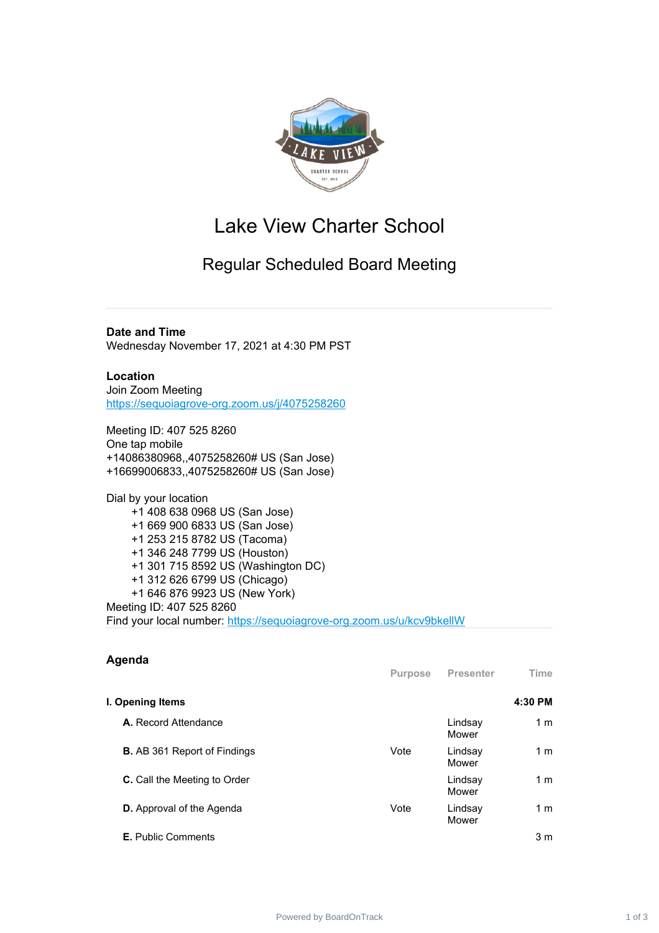

# Lake View Charter School

## Regular Scheduled Board Meeting

**Date and Time** Wednesday November 17, 2021 at 4:30 PM PST

#### **Location**

Join Zoom Meeting <https://sequoiagrove-org.zoom.us/j/4075258260>

Meeting ID: 407 525 8260 One tap mobile +14086380968,,4075258260# US (San Jose) +16699006833,,4075258260# US (San Jose)

Dial by your location +1 408 638 0968 US (San Jose) +1 669 900 6833 US (San Jose) +1 253 215 8782 US (Tacoma) +1 346 248 7799 US (Houston) +1 301 715 8592 US (Washington DC) +1 312 626 6799 US (Chicago) +1 646 876 9923 US (New York) Meeting ID: 407 525 8260 Find your local number: <https://sequoiagrove-org.zoom.us/u/kcv9bkellW>

| Agenda                              | <b>Purpose</b> | <b>Presenter</b> | Time           |
|-------------------------------------|----------------|------------------|----------------|
| I. Opening Items                    |                |                  | 4:30 PM        |
| A. Record Attendance                |                | Lindsay<br>Mower | 1 <sub>m</sub> |
| <b>B.</b> AB 361 Report of Findings | Vote           | Lindsay<br>Mower | 1 <sub>m</sub> |
| <b>C.</b> Call the Meeting to Order |                | Lindsay<br>Mower | 1 <sub>m</sub> |
| <b>D.</b> Approval of the Agenda    | Vote           | Lindsay<br>Mower | 1 <sub>m</sub> |
| <b>E.</b> Public Comments           |                |                  | 3 <sub>m</sub> |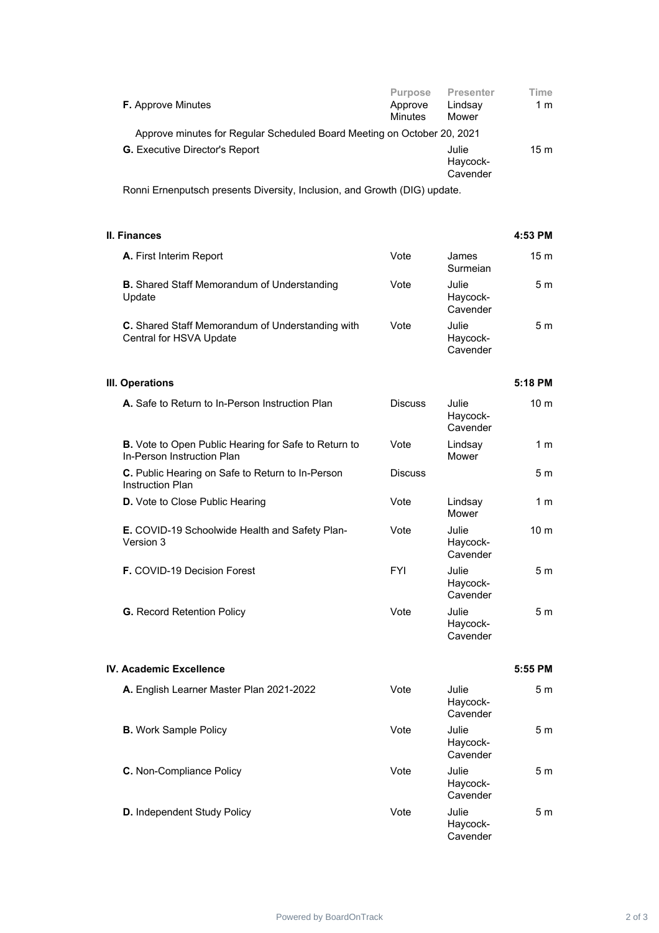| <b>F.</b> Approve Minutes                                               | <b>Purpose</b><br>Approve<br><b>Minutes</b> | <b>Presenter</b><br>Lindsay<br>Mower | Time<br>1 m |
|-------------------------------------------------------------------------|---------------------------------------------|--------------------------------------|-------------|
| Approve minutes for Regular Scheduled Board Meeting on October 20, 2021 |                                             |                                      |             |
| <b>G.</b> Executive Director's Report                                   |                                             | Julie<br>Haycock-<br>Cavender        | 15 m        |
| Poppi Ernopputech prosents Diversity Inclusion, and Crowth (DIC) undate |                                             |                                      |             |

Ronni Ernenputsch presents Diversity, Inclusion, and Growth (DIG) update.

|      |                               | 4:53 PM |
|------|-------------------------------|---------|
| Vote | James<br>Surmeian             | 15m     |
| Vote | Julie<br>Haycock-<br>Cavender | 5 m     |
| Vote | Julie<br>Haycock-<br>Cavender | 5 m     |
|      |                               |         |

### **III. Operations 5:18 PM**

| A. Safe to Return to In-Person Instruction Plan                                           | <b>Discuss</b> | Julie<br>Haycock-<br>Cavender | 10 <sub>m</sub> |
|-------------------------------------------------------------------------------------------|----------------|-------------------------------|-----------------|
| <b>B.</b> Vote to Open Public Hearing for Safe to Return to<br>In-Person Instruction Plan | Vote           | Lindsay<br>Mower              | 1 m             |
| C. Public Hearing on Safe to Return to In-Person<br><b>Instruction Plan</b>               | <b>Discuss</b> |                               | 5 m             |
| <b>D.</b> Vote to Close Public Hearing                                                    | Vote           | Lindsay<br>Mower              | 1 m             |
| <b>E.</b> COVID-19 Schoolwide Health and Safety Plan-<br>Version 3                        | Vote           | Julie<br>Haycock-<br>Cavender | 10 <sub>m</sub> |
| <b>F.</b> COVID-19 Decision Forest                                                        | <b>FYI</b>     | Julie<br>Haycock-<br>Cavender | 5m              |
| <b>G.</b> Record Retention Policy                                                         | Vote           | Julie<br>Haycock-             | 5 m             |

#### **IV. Academic Excellence 5:55 PM**

| A. English Learner Master Plan 2021-2022 | Vote | Julie<br>Haycock-<br>Cavender | 5 <sub>m</sub> |
|------------------------------------------|------|-------------------------------|----------------|
| <b>B.</b> Work Sample Policy             | Vote | Julie<br>Haycock-<br>Cavender | 5 <sub>m</sub> |
| <b>C.</b> Non-Compliance Policy          | Vote | Julie<br>Haycock-<br>Cavender | 5 <sub>m</sub> |
| <b>D.</b> Independent Study Policy       | Vote | Julie<br>Haycock-<br>Cavender | 5 <sub>m</sub> |

**Cavender**